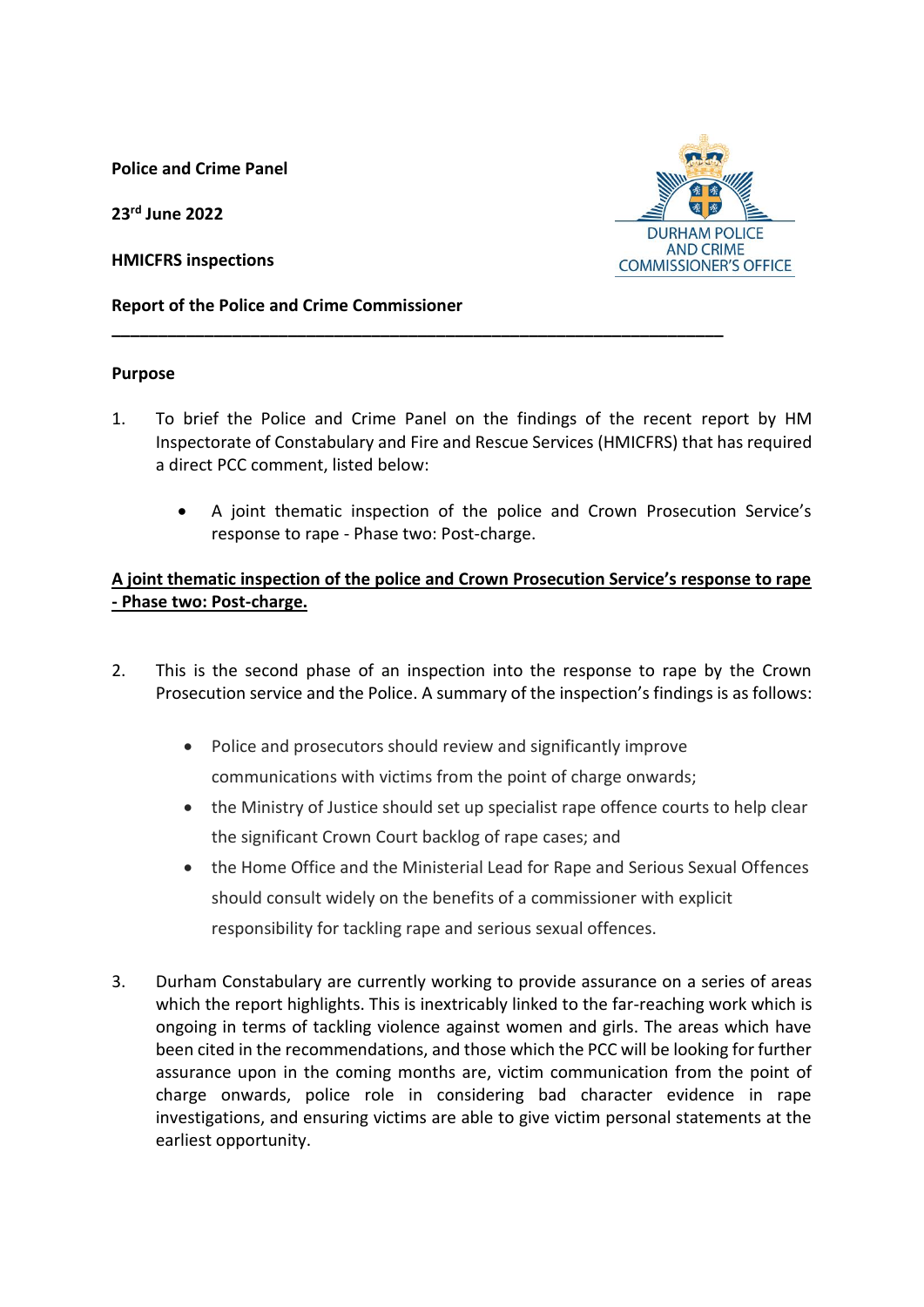**Police and Crime Panel**

**23 rd June 2022**

**HMICFRS inspections**



#### **Report of the Police and Crime Commissioner**

#### **Purpose**

1. To brief the Police and Crime Panel on the findings of the recent report by HM Inspectorate of Constabulary and Fire and Rescue Services (HMICFRS) that has required a direct PCC comment, listed below:

**\_\_\_\_\_\_\_\_\_\_\_\_\_\_\_\_\_\_\_\_\_\_\_\_\_\_\_\_\_\_\_\_\_\_\_\_\_\_\_\_\_\_\_\_\_\_\_\_\_\_\_\_\_\_\_\_\_\_\_\_\_\_\_\_\_\_**

 A joint thematic inspection of the police and Crown Prosecution Service's response to rape - Phase two: Post-charge.

# **A joint thematic inspection of the police and Crown Prosecution Service's response to rape - Phase two: Post-charge.**

- 2. This is the second phase of an inspection into the response to rape by the Crown Prosecution service and the Police. A summary of the inspection's findings is as follows:
	- Police and prosecutors should review and significantly improve communications with victims from the point of charge onwards;
	- the Ministry of Justice should set up specialist rape offence courts to help clear the significant Crown Court backlog of rape cases; and
	- the Home Office and the Ministerial Lead for Rape and Serious Sexual Offences should consult widely on the benefits of a commissioner with explicit responsibility for tackling rape and serious sexual offences.
- 3. Durham Constabulary are currently working to provide assurance on a series of areas which the report highlights. This is inextricably linked to the far-reaching work which is ongoing in terms of tackling violence against women and girls. The areas which have been cited in the recommendations, and those which the PCC will be looking for further assurance upon in the coming months are, victim communication from the point of charge onwards, police role in considering bad character evidence in rape investigations, and ensuring victims are able to give victim personal statements at the earliest opportunity.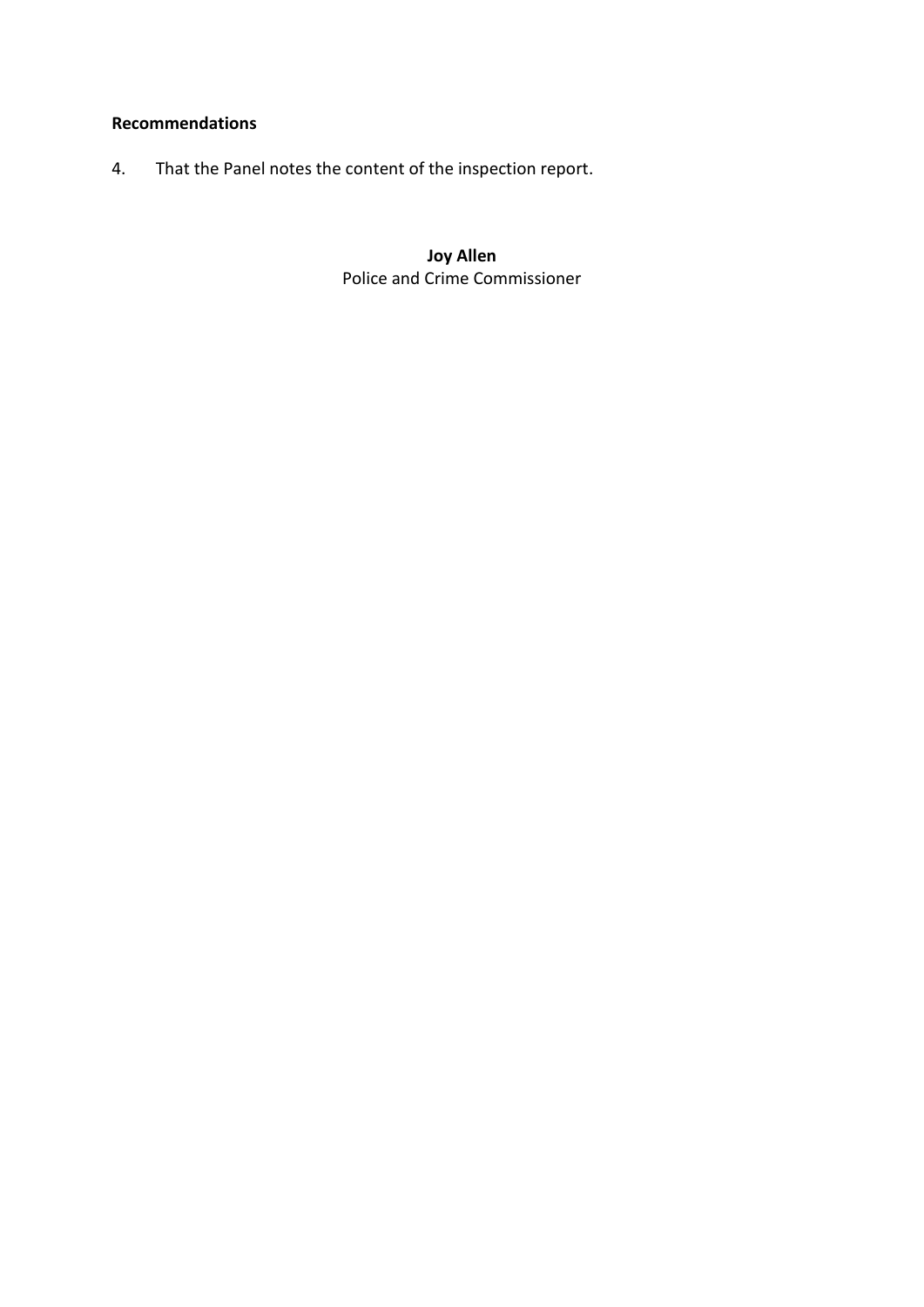## **Recommendations**

4. That the Panel notes the content of the inspection report.

**Joy Allen** Police and Crime Commissioner